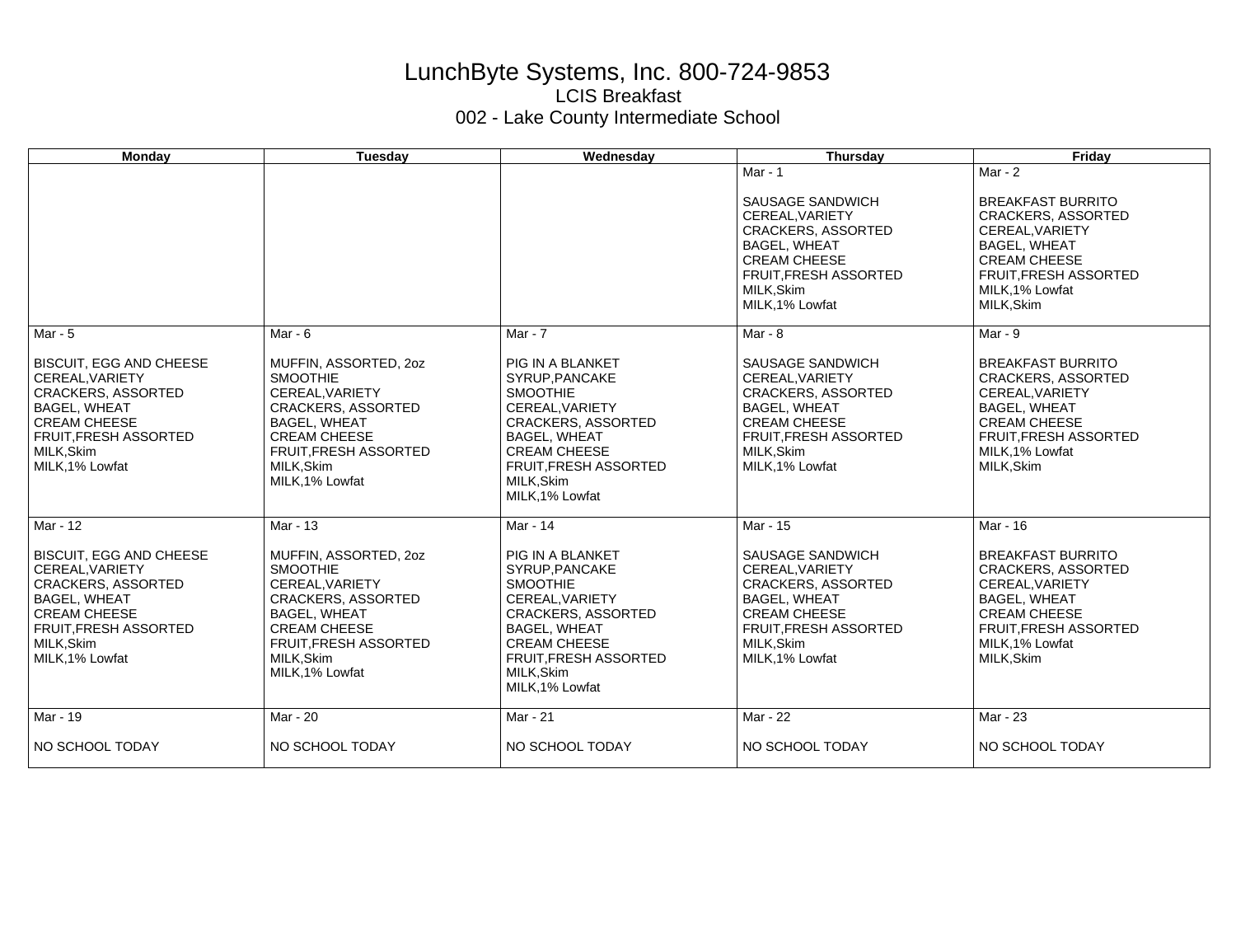## LunchByte Systems, Inc. 800-724-9853 LCIS Breakfast 002 - Lake County Intermediate School

| <b>Monday</b>                                                                                                                                                                                | Tuesday                                                                                                                                                                                          | Wednesday                                                                                                                                                                                                           | <b>Thursday</b>                                                                                                                                                                | Friday                                                                                                                                                                                        |
|----------------------------------------------------------------------------------------------------------------------------------------------------------------------------------------------|--------------------------------------------------------------------------------------------------------------------------------------------------------------------------------------------------|---------------------------------------------------------------------------------------------------------------------------------------------------------------------------------------------------------------------|--------------------------------------------------------------------------------------------------------------------------------------------------------------------------------|-----------------------------------------------------------------------------------------------------------------------------------------------------------------------------------------------|
|                                                                                                                                                                                              |                                                                                                                                                                                                  |                                                                                                                                                                                                                     | Mar - $1$<br>SAUSAGE SANDWICH<br>CEREAL, VARIETY<br>CRACKERS, ASSORTED<br><b>BAGEL, WHEAT</b><br><b>CREAM CHEESE</b><br>FRUIT, FRESH ASSORTED<br>MILK, Skim<br>MILK, 1% Lowfat | Mar - $2$<br><b>BREAKFAST BURRITO</b><br><b>CRACKERS, ASSORTED</b><br>CEREAL, VARIETY<br><b>BAGEL, WHEAT</b><br><b>CREAM CHEESE</b><br>FRUIT, FRESH ASSORTED<br>MILK, 1% Lowfat<br>MILK, Skim |
| Mar - 5                                                                                                                                                                                      | Mar - $6$                                                                                                                                                                                        | Mar - 7                                                                                                                                                                                                             | Mar - $8$                                                                                                                                                                      | Mar - $9$                                                                                                                                                                                     |
| <b>BISCUIT, EGG AND CHEESE</b><br>CEREAL.VARIETY<br><b>CRACKERS, ASSORTED</b><br><b>BAGEL, WHEAT</b><br><b>CREAM CHEESE</b><br><b>FRUIT, FRESH ASSORTED</b><br>MILK, Skim<br>MILK, 1% Lowfat | MUFFIN, ASSORTED, 20Z<br><b>SMOOTHIE</b><br>CEREAL, VARIETY<br><b>CRACKERS, ASSORTED</b><br><b>BAGEL, WHEAT</b><br><b>CREAM CHEESE</b><br>FRUIT, FRESH ASSORTED<br>MILK.Skim<br>MILK, 1% Lowfat  | PIG IN A BLANKET<br>SYRUP, PANCAKE<br><b>SMOOTHIE</b><br>CEREAL, VARIETY<br><b>CRACKERS, ASSORTED</b><br><b>BAGEL, WHEAT</b><br><b>CREAM CHEESE</b><br>FRUIT, FRESH ASSORTED<br>MILK, Skim<br>MILK.1% Lowfat        | SAUSAGE SANDWICH<br>CEREAL.VARIETY<br><b>CRACKERS, ASSORTED</b><br><b>BAGEL, WHEAT</b><br><b>CREAM CHEESE</b><br>FRUIT, FRESH ASSORTED<br>MILK, Skim<br>MILK, 1% Lowfat        | <b>BREAKFAST BURRITO</b><br><b>CRACKERS, ASSORTED</b><br>CEREAL, VARIETY<br><b>BAGEL, WHEAT</b><br><b>CREAM CHEESE</b><br><b>FRUIT.FRESH ASSORTED</b><br>MILK, 1% Lowfat<br>MILK, Skim        |
| Mar - 12                                                                                                                                                                                     | Mar - $13$                                                                                                                                                                                       | Mar - 14                                                                                                                                                                                                            | Mar - 15                                                                                                                                                                       | Mar - 16                                                                                                                                                                                      |
| <b>BISCUIT, EGG AND CHEESE</b><br>CEREAL.VARIETY<br><b>CRACKERS, ASSORTED</b><br><b>BAGEL, WHEAT</b><br><b>CREAM CHEESE</b><br><b>FRUIT, FRESH ASSORTED</b><br>MILK, Skim<br>MILK, 1% Lowfat | MUFFIN, ASSORTED, 20Z<br><b>SMOOTHIE</b><br>CEREAL, VARIETY<br><b>CRACKERS, ASSORTED</b><br><b>BAGEL, WHEAT</b><br><b>CREAM CHEESE</b><br>FRUIT, FRESH ASSORTED<br>MILK, Skim<br>MILK, 1% Lowfat | PIG IN A BLANKET<br>SYRUP, PANCAKE<br><b>SMOOTHIE</b><br>CEREAL, VARIETY<br><b>CRACKERS, ASSORTED</b><br><b>BAGEL, WHEAT</b><br><b>CREAM CHEESE</b><br><b>FRUIT, FRESH ASSORTED</b><br>MILK.Skim<br>MILK, 1% Lowfat | SAUSAGE SANDWICH<br>CEREAL.VARIETY<br>CRACKERS, ASSORTED<br><b>BAGEL, WHEAT</b><br><b>CREAM CHEESE</b><br>FRUIT, FRESH ASSORTED<br>MILK, Skim<br>MILK, 1% Lowfat               | <b>BREAKFAST BURRITO</b><br><b>CRACKERS, ASSORTED</b><br>CEREAL.VARIETY<br><b>BAGEL, WHEAT</b><br><b>CREAM CHEESE</b><br><b>FRUIT.FRESH ASSORTED</b><br>MILK, 1% Lowfat<br>MILK, Skim         |
| Mar - 19                                                                                                                                                                                     | Mar - 20                                                                                                                                                                                         | Mar - 21                                                                                                                                                                                                            | Mar - 22                                                                                                                                                                       | Mar - 23                                                                                                                                                                                      |
| NO SCHOOL TODAY                                                                                                                                                                              | NO SCHOOL TODAY                                                                                                                                                                                  | NO SCHOOL TODAY                                                                                                                                                                                                     | NO SCHOOL TODAY                                                                                                                                                                | NO SCHOOL TODAY                                                                                                                                                                               |